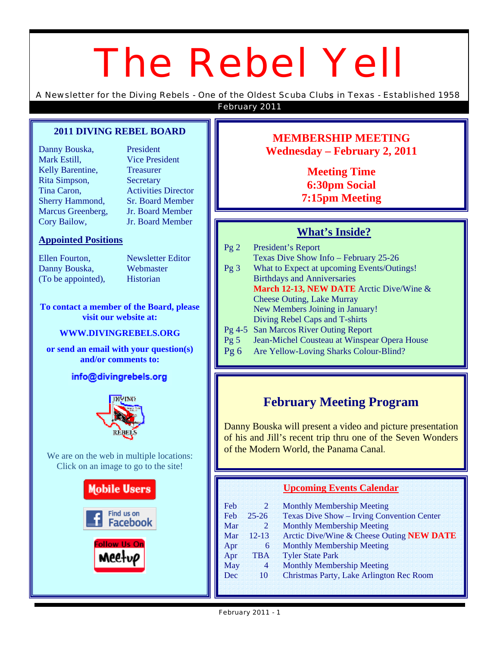# *The Rebel Yell*

A Newsletter for the Diving Rebels - One of the Oldest Scuba Clubs in Texas - Established 1958

February 2011

## **2011 DIVING REBEL BOARD**

| Danny Bouska,          |
|------------------------|
| Mark Estill,           |
| Kelly Barentine,       |
| Rita Simpson,          |
| Tina Caron,            |
| <b>Sherry Hammond,</b> |
| Marcus Greenberg,      |
| Cory Bailow,           |
|                        |

**President Vice President Treasurer Secretary Activities Director** Sr. Board Member Jr. Board Member Jr. Board Member

## **Appointed Positions**

Ellen Fourton, Newsletter Editor Danny Bouska, Webmaster (To be appointed), Historian

**To contact a member of the Board, please visit our website at:** 

## **WWW.DIVINGREBELS.ORG**

**or send an email with your question(s) and/or comments to:** 

## info@divingrebels.org



We are on the web in multiple locations: Click on an image to go to the site!



# **MEMBERSHIP MEETING Wednesday – February 2, 2011**

**Meeting Time 6:30pm Social 7:15pm Meeting** 

# **What's Inside?**

Pg 2 President's Report Texas Dive Show Info – February 25-26 Pg 3 What to Expect at upcoming Events/Outings! Birthdays and Anniversaries **March 12-13, NEW DATE** Arctic Dive/Wine & Cheese Outing, Lake Murray New Members Joining in January! Diving Rebel Caps and T-shirts Pg 4-5 San Marcos River Outing Report Pg 5 Jean-Michel Cousteau at Winspear Opera House

Pg 6 Are Yellow-Loving Sharks Colour-Blind?

# **February Meeting Program**

Danny Bouska will present a video and picture presentation of his and Jill's recent trip thru one of the Seven Wonders of the Modern World, the Panama Canal.

# **Upcoming Events Calendar**

| Feb        | $\overline{2}$ | <b>Monthly Membership Meeting</b>                 |
|------------|----------------|---------------------------------------------------|
| Feb        | $25 - 26$      | <b>Texas Dive Show – Irving Convention Center</b> |
| Mar        | $\overline{2}$ | <b>Monthly Membership Meeting</b>                 |
| Mar        | $12 - 13$      | Arctic Dive/Wine & Cheese Outing NEW DATE         |
| Apr        | 6              | <b>Monthly Membership Meeting</b>                 |
| Apr        | <b>TBA</b>     | <b>Tyler State Park</b>                           |
| <b>May</b> | $\overline{4}$ | <b>Monthly Membership Meeting</b>                 |
| Dec        | 10             | Christmas Party, Lake Arlington Rec Room          |
|            |                |                                                   |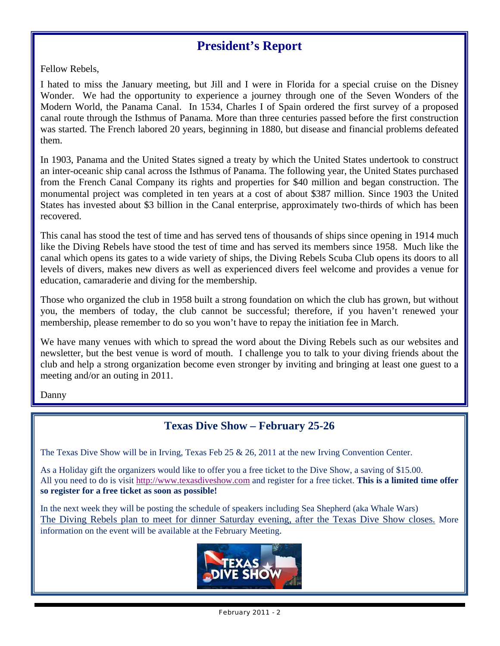# **President's Report**

Fellow Rebels,

I hated to miss the January meeting, but Jill and I were in Florida for a special cruise on the Disney Wonder. We had the opportunity to experience a journey through one of the Seven Wonders of the Modern World, the Panama Canal. In 1534, Charles I of Spain ordered the first survey of a proposed canal route through the Isthmus of Panama. More than three centuries passed before the first construction was started. The French labored 20 years, beginning in 1880, but disease and financial problems defeated them.

In 1903, Panama and the United States signed a treaty by which the United States undertook to construct an inter-oceanic ship canal across the Isthmus of Panama. The following year, the United States purchased from the French Canal Company its rights and properties for \$40 million and began construction. The monumental project was completed in ten years at a cost of about \$387 million. Since 1903 the United States has invested about \$3 billion in the Canal enterprise, approximately two-thirds of which has been recovered.

This canal has stood the test of time and has served tens of thousands of ships since opening in 1914 much like the Diving Rebels have stood the test of time and has served its members since 1958. Much like the canal which opens its gates to a wide variety of ships, the Diving Rebels Scuba Club opens its doors to all levels of divers, makes new divers as well as experienced divers feel welcome and provides a venue for education, camaraderie and diving for the membership.

Those who organized the club in 1958 built a strong foundation on which the club has grown, but without you, the members of today, the club cannot be successful; therefore, if you haven't renewed your membership, please remember to do so you won't have to repay the initiation fee in March.

We have many venues with which to spread the word about the Diving Rebels such as our websites and newsletter, but the best venue is word of mouth. I challenge you to talk to your diving friends about the club and help a strong organization become even stronger by inviting and bringing at least one guest to a meeting and/or an outing in 2011.

Danny

# **Texas Dive Show – February 25-26**

The Texas Dive Show will be in Irving, Texas Feb 25 & 26, 2011 at the new Irving Convention Center.

As a Holiday gift the organizers would like to offer you a free ticket to the Dive Show, a saving of \$15.00. All you need to do is visit http://www.texasdiveshow.com and register for a free ticket. **This is a limited time offer so register for a free ticket as soon as possible!** 

In the next week they will be posting the schedule of speakers including Sea Shepherd (aka Whale Wars) The Diving Rebels plan to meet for dinner Saturday evening, after the Texas Dive Show closes. More information on the event will be available at the February Meeting.

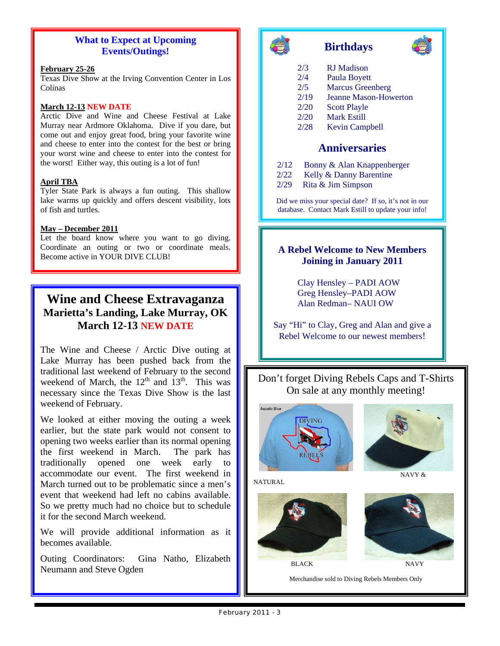## **What to Expect at Upcoming Events/Outings!**

#### **February 25-26**

Texas Dive Show at the Irving Convention Center in Los Colinas

#### **March 12-13 NEW DATE**

Arctic Dive and Wine and Cheese Festival at Lake Murray near Ardmore Oklahoma. Dive if you dare, but come out and enjoy great food, bring your favorite wine and cheese to enter into the contest for the best or bring your worst wine and cheese to enter into the contest for the worst! Either way, this outing is a lot of fun!

#### **April TBA**

Tyler State Park is always a fun outing. This shallow lake warms up quickly and offers descent visibility, lots of fish and turtles.

#### **May – December 2011**

Let the board know where you want to go diving. Coordinate an outing or two or coordinate meals. Become active in YOUR DIVE CLUB!

# **Wine and Cheese Extravaganza Marietta's Landing, Lake Murray, OK March 12-13 NEW DATE**

The Wine and Cheese / Arctic Dive outing at Lake Murray has been pushed back from the traditional last weekend of February to the second weekend of March, the  $12<sup>th</sup>$  and  $13<sup>th</sup>$ . This was necessary since the Texas Dive Show is the last weekend of February.

We looked at either moving the outing a week earlier, but the state park would not consent to opening two weeks earlier than its normal opening the first weekend in March. The park has traditionally opened one week early to accommodate our event. The first weekend in March turned out to be problematic since a men's event that weekend had left no cabins available. So we pretty much had no choice but to schedule it for the second March weekend.

We will provide additional information as it becomes available.

Outing Coordinators: Gina Natho, Elizabeth Neumann and Steve Ogden



# **Birthdays**

- 2/3 RJ Madison
- 2/4 Paula Boyett
- 2/5 Marcus Greenberg
- 2/19 Jeanne Mason-Howerton 2/20 Scott Playle
- 
- 2/20 Mark Estill
- 2/28 Kevin Campbell

# **Anniversaries**

- 2/12 Bonny & Alan Knappenberger
- 2/22 Kelly & Danny Barentine<br>2/29 Rita & Jim Simpson
- Rita & Jim Simpson

Did we miss your special date? If so, it's not in our database. Contact Mark Estill to update your info!

# **A Rebel Welcome to New Members Joining in January 2011**

Clay Hensley – PADI AOW Greg Hensley–PADI AOW Alan Redman– NAUI OW

Say "Hi" to Clay, Greg and Alan and give a Rebel Welcome to our newest members!

Don't forget Diving Rebels Caps and T-Shirts On sale at any monthly meeting!





NATURAL



Merchandise sold to Diving Rebels Members Only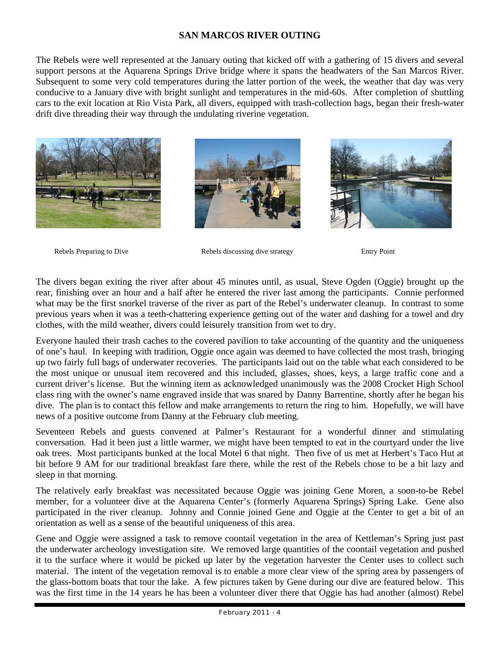## **SAN MARCOS RIVER OUTING**

The Rebels were well represented at the January outing that kicked off with a gathering of 15 divers and several support persons at the Aquarena Springs Drive bridge where it spans the headwaters of the San Marcos River. Subsequent to some very cold temperatures during the latter portion of the week, the weather that day was very conducive to a January dive with bright sunlight and temperatures in the mid-60s. After completion of shuttling cars to the exit location at Rio Vista Park, all divers, equipped with trash-collection bags, began their fresh-water drift dive threading their way through the undulating riverine vegetation.







Rebels Preparing to Dive **Rebels discussing dive strategy** Entry Point

The divers began exiting the river after about 45 minutes until, as usual, Steve Ogden (Oggie) brought up the rear, finishing over an hour and a half after he entered the river last among the participants. Connie performed what may be the first snorkel traverse of the river as part of the Rebel's underwater cleanup. In contrast to some previous years when it was a teeth-chattering experience getting out of the water and dashing for a towel and dry clothes, with the mild weather, divers could leisurely transition from wet to dry.

Everyone hauled their trash caches to the covered pavilion to take accounting of the quantity and the uniqueness of one's haul. In keeping with tradition, Oggie once again was deemed to have collected the most trash, bringing up two fairly full bags of underwater recoveries. The participants laid out on the table what each considered to be the most unique or unusual item recovered and this included, glasses, shoes, keys, a large traffic cone and a current driver's license. But the winning item as acknowledged unanimously was the 2008 Crocket High School class ring with the owner's name engraved inside that was snared by Danny Barrentine, shortly after he began his dive. The plan is to contact this fellow and make arrangements to return the ring to him. Hopefully, we will have news of a positive outcome from Danny at the February club meeting.

Seventeen Rebels and guests convened at Palmer's Restaurant for a wonderful dinner and stimulating conversation. Had it been just a little warmer, we might have been tempted to eat in the courtyard under the live oak trees. Most participants bunked at the local Motel 6 that night. Then five of us met at Herbert's Taco Hut at bit before 9 AM for our traditional breakfast fare there, while the rest of the Rebels chose to be a bit lazy and sleep in that morning.

The relatively early breakfast was necessitated because Oggie was joining Gene Moren, a soon-to-be Rebel member, for a volunteer dive at the Aquarena Center's (formerly Aquarena Springs) Spring Lake. Gene also participated in the river cleanup. Johnny and Connie joined Gene and Oggie at the Center to get a bit of an orientation as well as a sense of the beautiful uniqueness of this area.

Gene and Oggie were assigned a task to remove coontail vegetation in the area of Kettleman's Spring just past the underwater archeology investigation site. We removed large quantities of the coontail vegetation and pushed it to the surface where it would be picked up later by the vegetation harvester the Center uses to collect such material. The intent of the vegetation removal is to enable a more clear view of the spring area by passengers of the glass-bottom boats that tour the lake. A few pictures taken by Gene during our dive are featured below. This was the first time in the 14 years he has been a volunteer diver there that Oggie has had another (almost) Rebel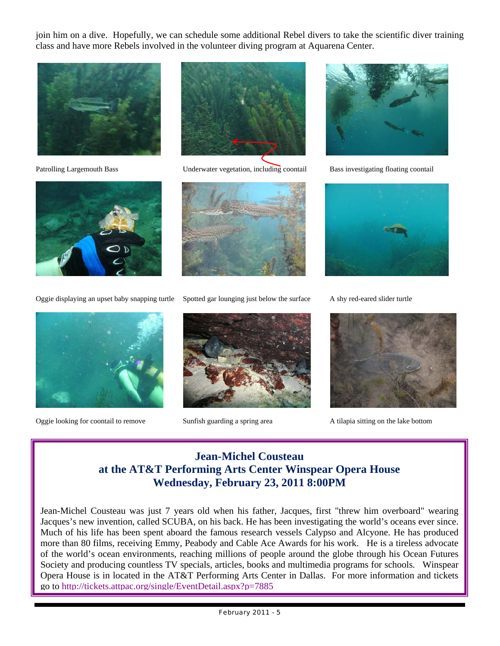join him on a dive. Hopefully, we can schedule some additional Rebel divers to take the scientific diver training class and have more Rebels involved in the volunteer diving program at Aquarena Center.





Oggie displaying an upset baby snapping turtle Spotted gar lounging just below the surface A shy red-eared slider turtle



Patrolling Largemouth Bass **Underwater vegetation, including coontail** Bass investigating floating coontail









Oggie looking for coontail to remove Sunfish guarding a spring area A tilapia sitting on the lake bottom





# **Jean-Michel Cousteau at the AT&T Performing Arts Center Winspear Opera House Wednesday, February 23, 2011 8:00PM**

Jean-Michel Cousteau was just 7 years old when his father, Jacques, first "threw him overboard" wearing Jacques's new invention, called SCUBA, on his back. He has been investigating the world's oceans ever since. Much of his life has been spent aboard the famous research vessels Calypso and Alcyone. He has produced more than 80 films, receiving Emmy, Peabody and Cable Ace Awards for his work. He is a tireless advocate of the world's ocean environments, reaching millions of people around the globe through his Ocean Futures Society and producing countless TV specials, articles, books and multimedia programs for schools. Winspear Opera House is in located in the AT&T Performing Arts Center in Dallas. For more information and tickets go to http://tickets.attpac.org/single/EventDetail.aspx?p=7885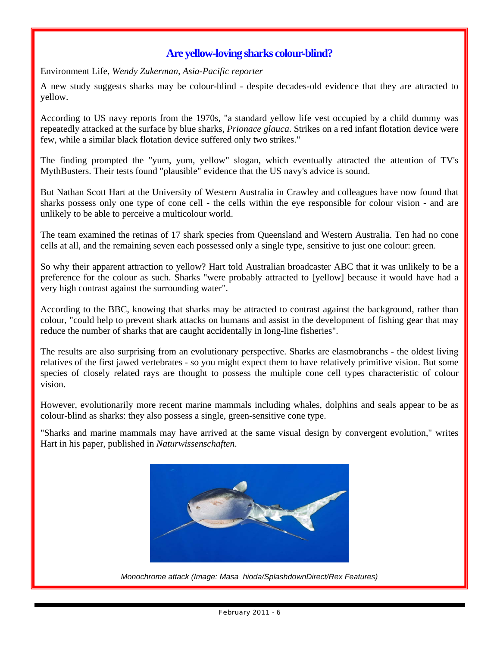# **Are yellow-loving sharks colour-blind?**

Environment Life, *Wendy Zukerman, Asia-Pacific reporter*

A new study suggests sharks may be colour-blind - despite decades-old evidence that they are attracted to yellow.

According to US navy reports from the 1970s, "a standard yellow life vest occupied by a child dummy was repeatedly attacked at the surface by blue sharks, *Prionace glauca*. Strikes on a red infant flotation device were few, while a similar black flotation device suffered only two strikes."

The finding prompted the "yum, yum, yellow" slogan, which eventually attracted the attention of TV's MythBusters. Their tests found "plausible" evidence that the US navy's advice is sound.

But Nathan Scott Hart at the University of Western Australia in Crawley and colleagues have now found that sharks possess only one type of cone cell - the cells within the eye responsible for colour vision - and are unlikely to be able to perceive a multicolour world.

The team examined the retinas of 17 shark species from Queensland and Western Australia. Ten had no cone cells at all, and the remaining seven each possessed only a single type, sensitive to just one colour: green.

So why their apparent attraction to yellow? Hart told Australian broadcaster ABC that it was unlikely to be a preference for the colour as such. Sharks "were probably attracted to [yellow] because it would have had a very high contrast against the surrounding water".

According to the BBC, knowing that sharks may be attracted to contrast against the background, rather than colour, "could help to prevent shark attacks on humans and assist in the development of fishing gear that may reduce the number of sharks that are caught accidentally in long-line fisheries".

The results are also surprising from an evolutionary perspective. Sharks are elasmobranchs - the oldest living relatives of the first jawed vertebrates - so you might expect them to have relatively primitive vision. But some species of closely related rays are thought to possess the multiple cone cell types characteristic of colour vision.

However, evolutionarily more recent marine mammals including whales, dolphins and seals appear to be as colour-blind as sharks: they also possess a single, green-sensitive cone type.

"Sharks and marine mammals may have arrived at the same visual design by convergent evolution," writes Hart in his paper, published in *Naturwissenschaften*.



*Monochrome attack (Image: Masa hioda/SplashdownDirect/Rex Features)*